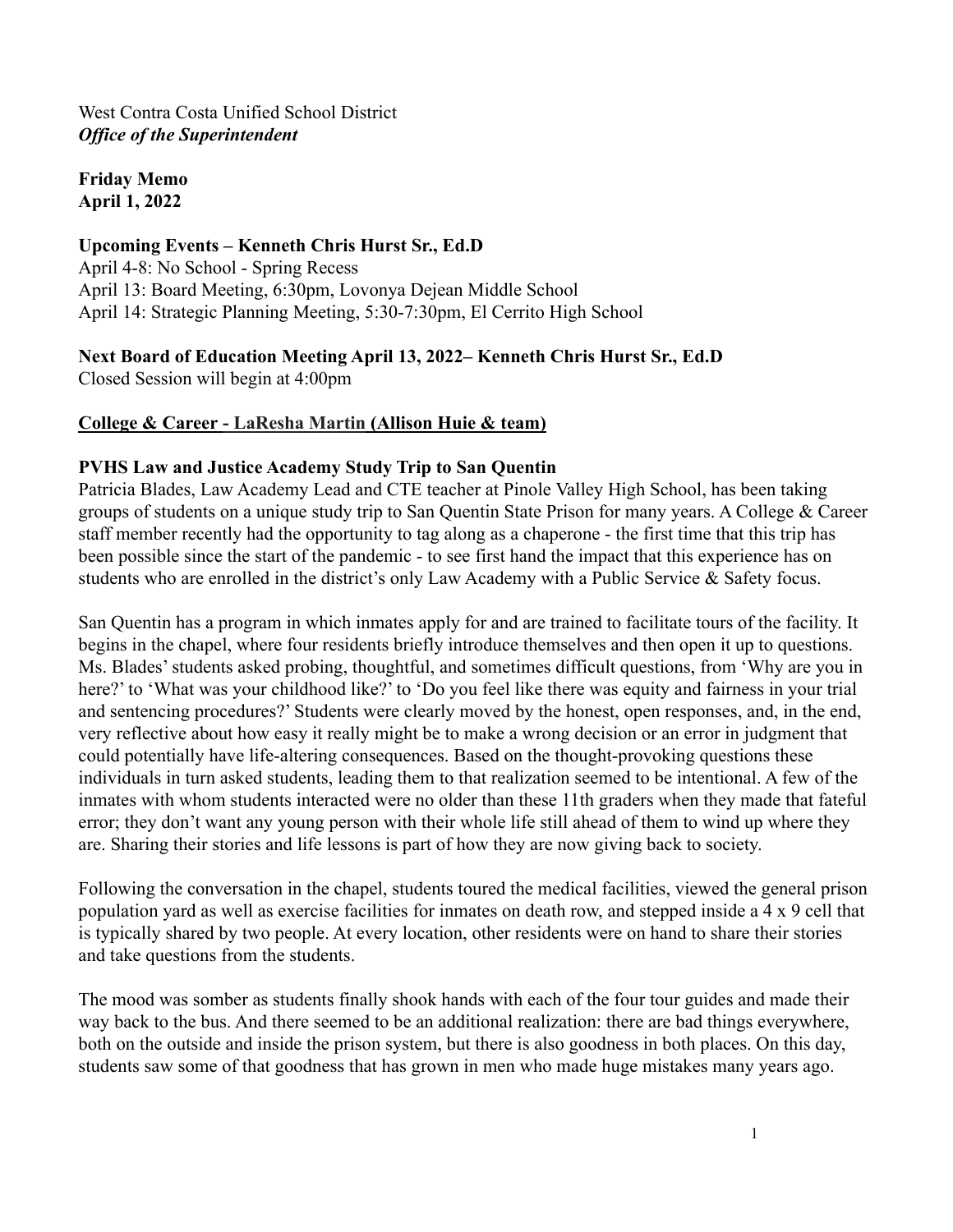#### West Contra Costa Unified School District *Office of the Superintendent*

**Friday Memo April 1, 2022**

## **Upcoming Events – Kenneth Chris Hurst Sr., Ed.D**

April 4-8: No School - Spring Recess April 13: Board Meeting, 6:30pm, Lovonya Dejean Middle School April 14: Strategic Planning Meeting, 5:30-7:30pm, El Cerrito High School

**Next Board of Education Meeting April 13, 2022– Kenneth Chris Hurst Sr., Ed.D** Closed Session will begin at 4:00pm

## **College & Career - LaResha Martin (Allison Huie & team)**

#### **PVHS Law and Justice Academy Study Trip to San Quentin**

Patricia Blades, Law Academy Lead and CTE teacher at Pinole Valley High School, has been taking groups of students on a unique study trip to San Quentin State Prison for many years. A College & Career staff member recently had the opportunity to tag along as a chaperone - the first time that this trip has been possible since the start of the pandemic - to see first hand the impact that this experience has on students who are enrolled in the district's only Law Academy with a Public Service & Safety focus.

San Quentin has a program in which inmates apply for and are trained to facilitate tours of the facility. It begins in the chapel, where four residents briefly introduce themselves and then open it up to questions. Ms. Blades' students asked probing, thoughtful, and sometimes difficult questions, from 'Why are you in here?' to 'What was your childhood like?' to 'Do you feel like there was equity and fairness in your trial and sentencing procedures?' Students were clearly moved by the honest, open responses, and, in the end, very reflective about how easy it really might be to make a wrong decision or an error in judgment that could potentially have life-altering consequences. Based on the thought-provoking questions these individuals in turn asked students, leading them to that realization seemed to be intentional. A few of the inmates with whom students interacted were no older than these 11th graders when they made that fateful error; they don't want any young person with their whole life still ahead of them to wind up where they are. Sharing their stories and life lessons is part of how they are now giving back to society.

Following the conversation in the chapel, students toured the medical facilities, viewed the general prison population yard as well as exercise facilities for inmates on death row, and stepped inside a 4 x 9 cell that is typically shared by two people. At every location, other residents were on hand to share their stories and take questions from the students.

The mood was somber as students finally shook hands with each of the four tour guides and made their way back to the bus. And there seemed to be an additional realization: there are bad things everywhere, both on the outside and inside the prison system, but there is also goodness in both places. On this day, students saw some of that goodness that has grown in men who made huge mistakes many years ago.